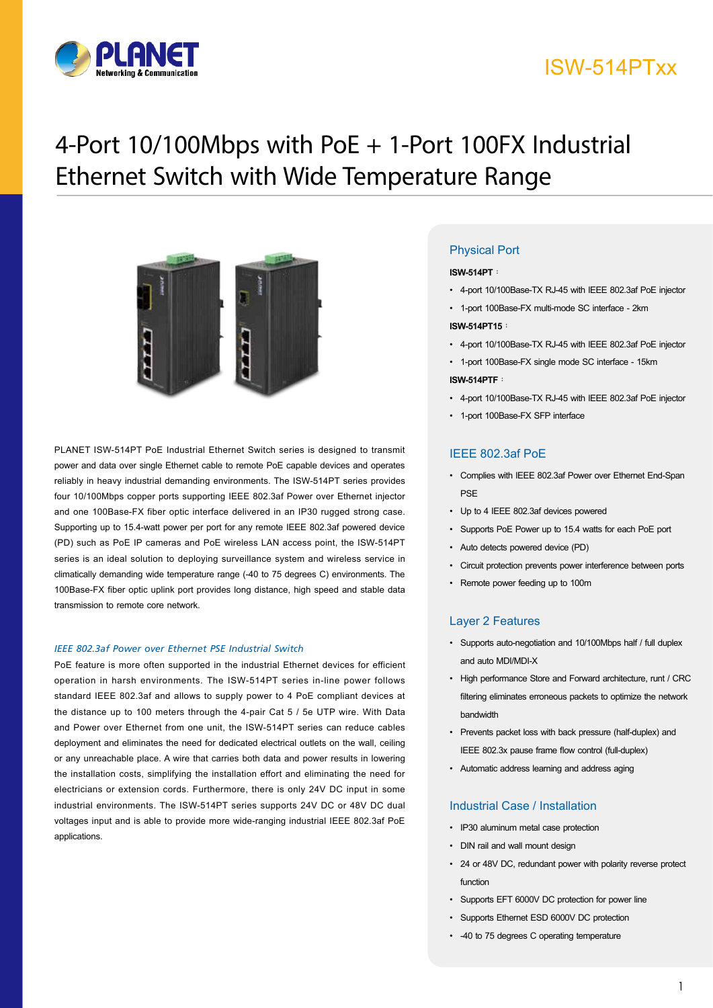

### ISW-514PTxx

# 4-Port 10/100Mbps with PoE + 1-Port 100FX Industrial Ethernet Switch with Wide Temperature Range



PLANET ISW-514PT PoE Industrial Ethernet Switch series is designed to transmit power and data over single Ethernet cable to remote PoE capable devices and operates reliably in heavy industrial demanding environments. The ISW-514PT series provides four 10/100Mbps copper ports supporting IEEE 802.3af Power over Ethernet injector and one 100Base-FX fiber optic interface delivered in an IP30 rugged strong case. Supporting up to 15.4-watt power per port for any remote IEEE 802.3af powered device (PD) such as PoE IP cameras and PoE wireless LAN access point, the ISW-514PT series is an ideal solution to deploying surveillance system and wireless service in climatically demanding wide temperature range (-40 to 75 degrees C) environments. The 100Base-FX fiber optic uplink port provides long distance, high speed and stable data transmission to remote core network.

### *IEEE 802.3af Power over Ethernet PSE Industrial Switch*

PoE feature is more often supported in the industrial Ethernet devices for efficient operation in harsh environments. The ISW-514PT series in-line power follows standard IEEE 802.3af and allows to supply power to 4 PoE compliant devices at the distance up to 100 meters through the 4-pair Cat 5 / 5e UTP wire. With Data and Power over Ethernet from one unit, the ISW-514PT series can reduce cables deployment and eliminates the need for dedicated electrical outlets on the wall, ceiling or any unreachable place. A wire that carries both data and power results in lowering the installation costs, simplifying the installation effort and eliminating the need for electricians or extension cords. Furthermore, there is only 24V DC input in some industrial environments. The ISW-514PT series supports 24V DC or 48V DC dual voltages input and is able to provide more wide-ranging industrial IEEE 802.3af PoE applications.

### Physical Port

#### **ISW-514PT**:

- • 4-port 10/100Base-TX RJ-45 with IEEE 802.3af PoE injector
- • 1-port 100Base-FX multi-mode SC interface 2km

#### **ISW-514PT15**:

- • 4-port 10/100Base-TX RJ-45 with IEEE 802.3af PoE injector
- • 1-port 100Base-FX single mode SC interface 15km **ISW-514PTF**:
- • 4-port 10/100Base-TX RJ-45 with IEEE 802.3af PoE injector
- • 1-port 100Base-FX SFP interface

### IEEE 802.3af PoE

- • Complies with IEEE 802.3af Power over Ethernet End-Span PSE
- • Up to 4 IEEE 802.3af devices powered
- • Supports PoE Power up to 15.4 watts for each PoE port
- • Auto detects powered device (PD)
- Circuit protection prevents power interference between ports
- • Remote power feeding up to 100m

#### Layer 2 Features

- • Supports auto-negotiation and 10/100Mbps half / full duplex and auto MDI/MDI-X
- High performance Store and Forward architecture, runt / CRC filtering eliminates erroneous packets to optimize the network bandwidth
- • Prevents packet loss with back pressure (half-duplex) and IEEE 802.3x pause frame flow control (full-duplex)
- • Automatic address learning and address aging

### Industrial Case / Installation

- • IP30 aluminum metal case protection
- • DIN rail and wall mount design
- • 24 or 48V DC, redundant power with polarity reverse protect function
- • Supports EFT 6000V DC protection for power line
- • Supports Ethernet ESD 6000V DC protection
- • -40 to 75 degrees C operating temperature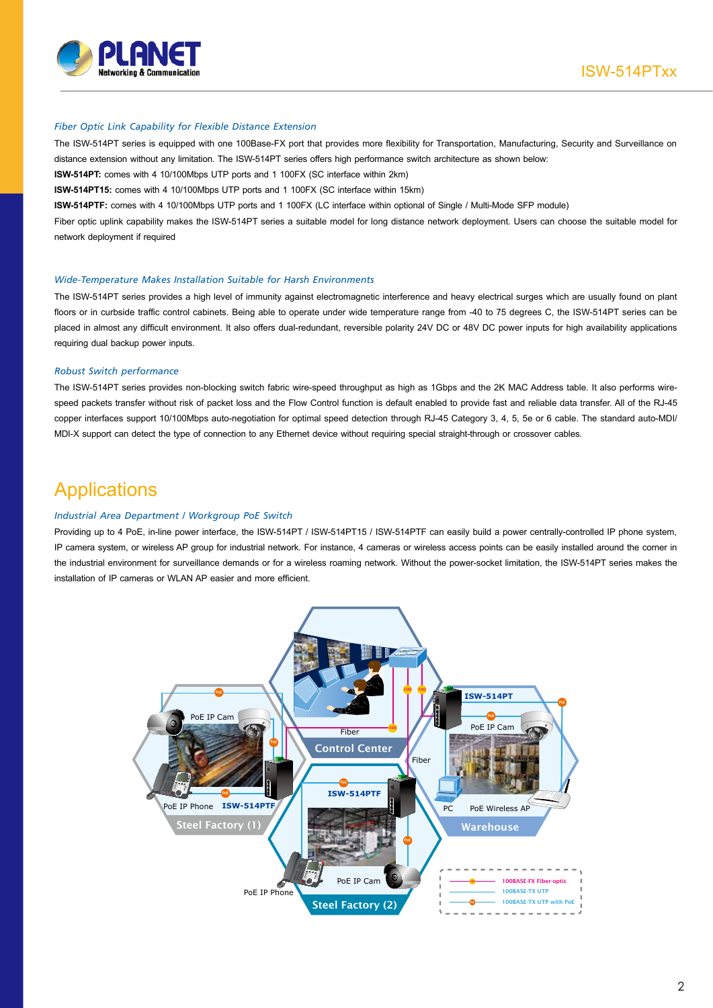

#### *Fiber Optic Link Capability for Flexible Distance Extension*

The ISW-514PT series is equipped with one 100Base-FX port that provides more flexibility for Transportation, Manufacturing, Security and Surveillance on distance extension without any limitation. The ISW-514PT series offers high performance switch architecture as shown below:

**ISW-514PT:** comes with 4 10/100Mbps UTP ports and 1 100FX (SC interface within 2km)

**ISW-514PT15:** comes with 4 10/100Mbps UTP ports and 1 100FX (SC interface within 15km)

**ISW-514PTF:** comes with 4 10/100Mbps UTP ports and 1 100FX (LC interface within optional of Single / Multi-Mode SFP module)

Fiber optic uplink capability makes the ISW-514PT series a suitable model for long distance network deployment. Users can choose the suitable model for network deployment if required

#### *Wide-Temperature Makes Installation Suitable for Harsh Environments*

The ISW-514PT series provides a high level of immunity against electromagnetic interference and heavy electrical surges which are usually found on plant floors or in curbside traffic control cabinets. Being able to operate under wide temperature range from -40 to 75 degrees C, the ISW-514PT series can be placed in almost any difficult environment. It also offers dual-redundant, reversible polarity 24V DC or 48V DC power inputs for high availability applications requiring dual backup power inputs.

#### *Robust Switch performance*

The ISW-514PT series provides non-blocking switch fabric wire-speed throughput as high as 1Gbps and the 2K MAC Address table. It also performs wirespeed packets transfer without risk of packet loss and the Flow Control function is default enabled to provide fast and reliable data transfer. All of the RJ-45 copper interfaces support 10/100Mbps auto-negotiation for optimal speed detection through RJ-45 Category 3, 4, 5, 5e or 6 cable. The standard auto-MDI/ MDI-X support can detect the type of connection to any Ethernet device without requiring special straight-through or crossover cables.

### **Applications**

### *Industrial Area Department / Workgroup PoE Switch*

Providing up to 4 PoE, in-line power interface, the ISW-514PT / ISW-514PT15 / ISW-514PTF can easily build a power centrally-controlled IP phone system, IP camera system, or wireless AP group for industrial network. For instance, 4 cameras or wireless access points can be easily installed around the corner in the industrial environment for surveillance demands or for a wireless roaming network. Without the power-socket limitation, the ISW-514PT series makes the installation of IP cameras or WLAN AP easier and more efficient.

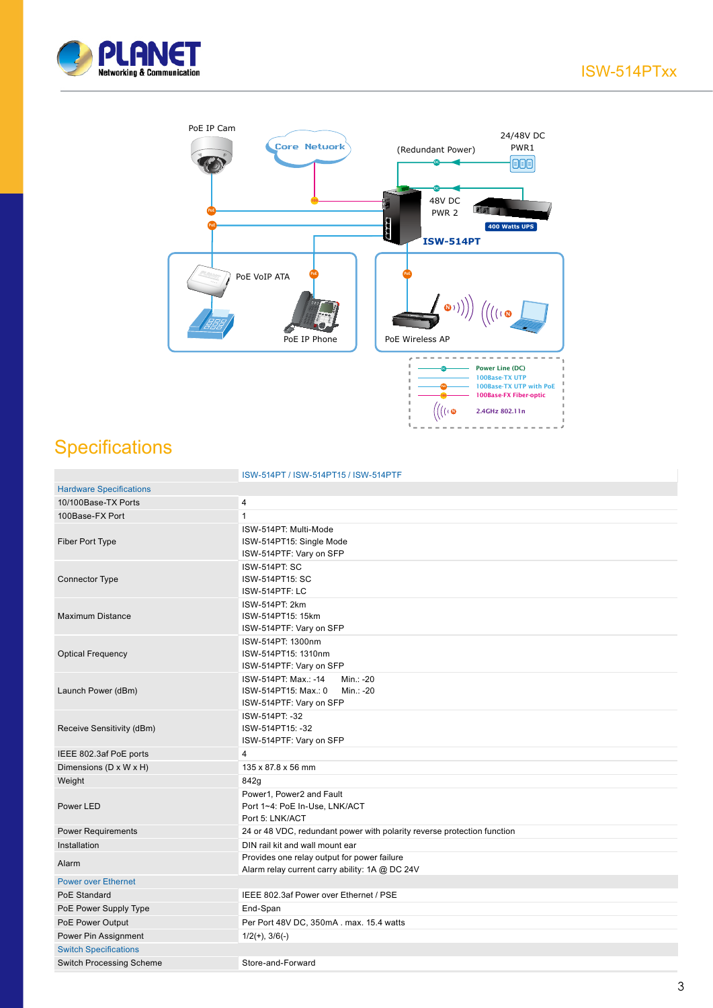



## **Specifications**

|                                 | ISW-514PT / ISW-514PT15 / ISW-514PTF                                                              |
|---------------------------------|---------------------------------------------------------------------------------------------------|
| <b>Hardware Specifications</b>  |                                                                                                   |
| 10/100Base-TX Ports             | 4                                                                                                 |
| 100Base-FX Port                 | $\mathbf{1}$                                                                                      |
| Fiber Port Type                 | ISW-514PT: Multi-Mode<br>ISW-514PT15: Single Mode<br>ISW-514PTF: Vary on SFP                      |
| <b>Connector Type</b>           | <b>ISW-514PT: SC</b><br>ISW-514PT15: SC<br>ISW-514PTF: LC                                         |
| <b>Maximum Distance</b>         | ISW-514PT: 2km<br>ISW-514PT15: 15km<br>ISW-514PTF: Vary on SFP                                    |
| <b>Optical Frequency</b>        | ISW-514PT: 1300nm<br>ISW-514PT15: 1310nm<br>ISW-514PTF: Vary on SFP                               |
| Launch Power (dBm)              | ISW-514PT: Max.: -14<br>Min.: -20<br>ISW-514PT15: Max.: 0<br>Min.: -20<br>ISW-514PTF: Vary on SFP |
| Receive Sensitivity (dBm)       | ISW-514PT: -32<br>ISW-514PT15: -32<br>ISW-514PTF: Vary on SFP                                     |
| IEEE 802.3af PoE ports          | 4                                                                                                 |
| Dimensions (D x W x H)          | 135 x 87.8 x 56 mm                                                                                |
| Weight                          | 842g                                                                                              |
| Power LED                       | Power1, Power2 and Fault<br>Port 1~4: PoE In-Use, LNK/ACT<br>Port 5: LNK/ACT                      |
| <b>Power Requirements</b>       | 24 or 48 VDC, redundant power with polarity reverse protection function                           |
| Installation                    | DIN rail kit and wall mount ear                                                                   |
| Alarm                           | Provides one relay output for power failure<br>Alarm relay current carry ability: 1A @ DC 24V     |
| <b>Power over Ethernet</b>      |                                                                                                   |
| PoE Standard                    | IEEE 802.3af Power over Ethernet / PSE                                                            |
| PoE Power Supply Type           | End-Span                                                                                          |
| PoE Power Output                | Per Port 48V DC, 350mA . max. 15.4 watts                                                          |
| Power Pin Assignment            | $1/2(+), 3/6(-)$                                                                                  |
| <b>Switch Specifications</b>    |                                                                                                   |
| <b>Switch Processing Scheme</b> | Store-and-Forward                                                                                 |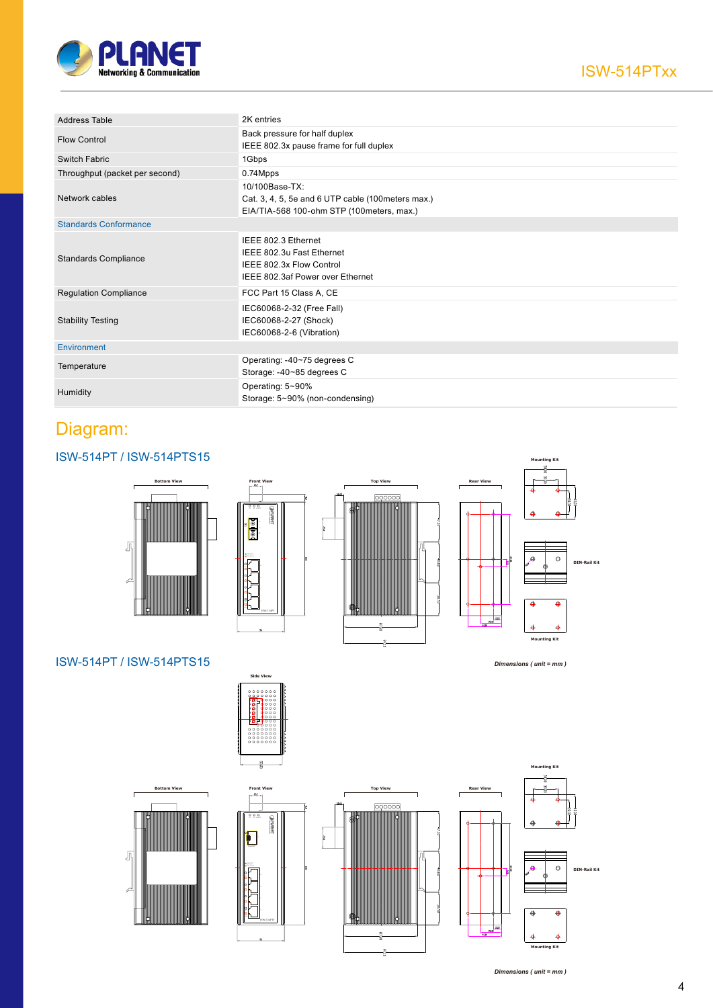

| <b>Address Table</b>           | 2K entries                                                                                                        |
|--------------------------------|-------------------------------------------------------------------------------------------------------------------|
| <b>Flow Control</b>            | Back pressure for half duplex<br>IEEE 802.3x pause frame for full duplex                                          |
| Switch Fabric                  | 1Gbps                                                                                                             |
| Throughput (packet per second) | 0.74Mpps                                                                                                          |
| Network cables                 | 10/100Base-TX:<br>Cat. 3, 4, 5, 5e and 6 UTP cable (100 meters max.)<br>EIA/TIA-568 100-ohm STP (100meters, max.) |
| <b>Standards Conformance</b>   |                                                                                                                   |
| <b>Standards Compliance</b>    | IEEE 802.3 Ethernet<br>IEEE 802.3u Fast Ethernet<br>IEEE 802.3x Flow Control<br>IEEE 802.3af Power over Ethernet  |
| <b>Regulation Compliance</b>   | FCC Part 15 Class A, CE                                                                                           |
| <b>Stability Testing</b>       | IEC60068-2-32 (Free Fall)<br>IEC60068-2-27 (Shock)<br>IEC60068-2-6 (Vibration)                                    |
| Environment                    |                                                                                                                   |
| Temperature                    | Operating: -40~75 degrees C<br>Storage: -40~85 degrees C                                                          |
| Humidity                       | Operating: 5~90%<br>Storage: 5~90% (non-condensing)                                                               |

### ISW-514PT / ISW-514PTS15







*Dimensions ( unit = mm )*

### ISW-514PT / ISW-514PTS15



**ISW-514PSF In-Use**

**ACT <sup>5</sup>**

**In-Use**







*Dimensions ( unit = mm )*